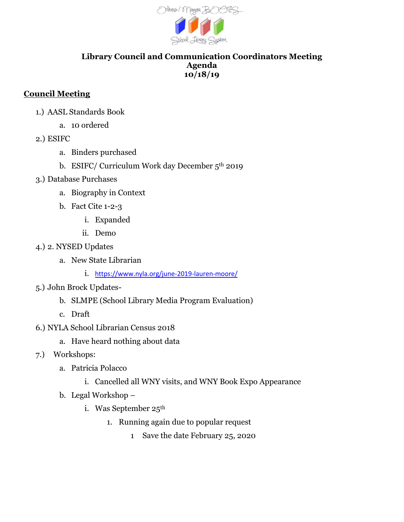

## **Library Council and Communication Coordinators Meeting Agenda 10/18/19**

## **Council Meeting**

- 1.) AASL Standards Book
	- a. 10 ordered
- 2.) ESIFC
	- a. Binders purchased
	- b. ESIFC/ Curriculum Work day December 5<sup>th</sup> 2019
- 3.) Database Purchases
	- a. Biography in Context
	- b. Fact Cite 1-2-3
		- i. Expanded
		- ii. Demo
- 4.) 2. NYSED Updates
	- a. New State Librarian
		- i. <https://www.nyla.org/june-2019-lauren-moore/>
- 5.) John Brock Updates
	- b. SLMPE (School Library Media Program Evaluation)
	- c. Draft
- 6.) NYLA School Librarian Census 2018
	- a. Have heard nothing about data
- 7.) Workshops:
	- a. Patricia Polacco
		- i. Cancelled all WNY visits, and WNY Book Expo Appearance
	- b. Legal Workshop
		- i. Was September 25<sup>th</sup>
			- 1. Running again due to popular request
				- 1 Save the date February 25, 2020